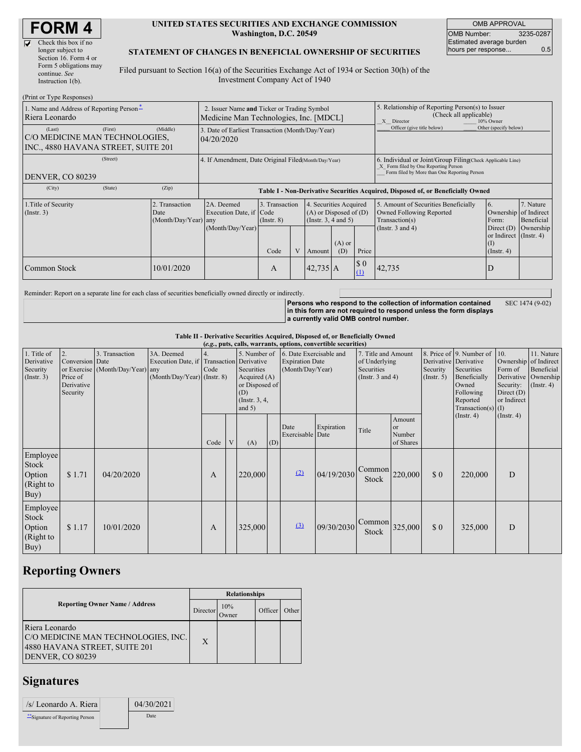| <b>FORM4</b> |  |
|--------------|--|
|--------------|--|

| v | Check this box if no   |
|---|------------------------|
|   | longer subject to      |
|   | Section 16. Form 4 or  |
|   | Form 5 obligations may |
|   | continue. See          |
|   | Instruction $l(b)$ .   |

#### **UNITED STATES SECURITIES AND EXCHANGE COMMISSION Washington, D.C. 20549**

OMB APPROVAL OMB Number: 3235-0287 Estimated average burden hours per response... 0.5

#### **STATEMENT OF CHANGES IN BENEFICIAL OWNERSHIP OF SECURITIES**

Filed pursuant to Section 16(a) of the Securities Exchange Act of 1934 or Section 30(h) of the Investment Company Act of 1940

| (Print or Type Responses)                                                                  |                                                                                                                                                                                                                              |                                                                                       |      |                                                                                                             |                                                               |                 |                                    |                                                                                                                                                    |                                                                          |  |  |
|--------------------------------------------------------------------------------------------|------------------------------------------------------------------------------------------------------------------------------------------------------------------------------------------------------------------------------|---------------------------------------------------------------------------------------|------|-------------------------------------------------------------------------------------------------------------|---------------------------------------------------------------|-----------------|------------------------------------|----------------------------------------------------------------------------------------------------------------------------------------------------|--------------------------------------------------------------------------|--|--|
| 1. Name and Address of Reporting Person-<br>Riera Leonardo                                 |                                                                                                                                                                                                                              | 2. Issuer Name and Ticker or Trading Symbol<br>Medicine Man Technologies, Inc. [MDCL] |      |                                                                                                             |                                                               |                 |                                    | 5. Relationship of Reporting Person(s) to Issuer<br>(Check all applicable)<br>X Director<br>10% Owner                                              |                                                                          |  |  |
| (First)<br>(Last)<br>C/O MEDICINE MAN TECHNOLOGIES,<br>INC., 4880 HAVANA STREET, SUITE 201 | (Middle)                                                                                                                                                                                                                     | 3. Date of Earliest Transaction (Month/Day/Year)<br>04/20/2020                        |      |                                                                                                             |                                                               |                 | Officer (give title below)         | Other (specify below)                                                                                                                              |                                                                          |  |  |
| (Street)<br>DENVER, CO 80239                                                               |                                                                                                                                                                                                                              | 4. If Amendment, Date Original Filed(Month/Day/Year)                                  |      |                                                                                                             |                                                               |                 |                                    | 6. Individual or Joint/Group Filing(Check Applicable Line)<br>X Form filed by One Reporting Person<br>Form filed by More than One Reporting Person |                                                                          |  |  |
| (State)<br>(City)                                                                          | (Zip)                                                                                                                                                                                                                        | Table I - Non-Derivative Securities Acquired, Disposed of, or Beneficially Owned      |      |                                                                                                             |                                                               |                 |                                    |                                                                                                                                                    |                                                                          |  |  |
| 1. Title of Security<br>$($ Instr. 3 $)$                                                   | 3. Transaction<br>Transaction<br>2A. Deemed<br>4. Securities Acquired<br>Execution Date, if Code<br>$(A)$ or Disposed of $(D)$<br>Date<br>(Month/Day/Year) any<br>(Instr. 3, 4 and 5)<br>$($ Instr. $8)$<br>(Month/Day/Year) |                                                                                       |      | 5. Amount of Securities Beneficially<br>Owned Following Reported<br>Transaction(s)<br>(Instr. $3$ and $4$ ) | 7. Nature<br>Ownership of Indirect<br>Beneficial<br>Ownership |                 |                                    |                                                                                                                                                    |                                                                          |  |  |
|                                                                                            |                                                                                                                                                                                                                              |                                                                                       | Code |                                                                                                             | Amount                                                        | $(A)$ or<br>(D) | Price                              |                                                                                                                                                    | Direct (D)<br>or Indirect (Instr. 4)<br>$($ $\Gamma$<br>$($ Instr. 4 $)$ |  |  |
| Common Stock                                                                               | 10/01/2020                                                                                                                                                                                                                   |                                                                                       | A    |                                                                                                             | $42,735$ A                                                    |                 | $\boldsymbol{\mathsf{S}}$ 0<br>(1) | 42,735                                                                                                                                             | D                                                                        |  |  |

Reminder: Report on a separate line for each class of securities beneficially owned directly or indirectly.

**Persons who respond to the collection of information contained in this form are not required to respond unless the form displays a currently valid OMB control number.** SEC 1474 (9-02)

**Table II - Derivative Securities Acquired, Disposed of, or Beneficially Owned**

|                                                           | (e.g., puts, calls, warrants, options, convertible securities) |                                                    |                                                                                        |            |   |                                                                                                      |                                                                       |                          |                                                                                    |                                  |                                                                                                                                                                      |     |                                                                                     |                                                                      |  |
|-----------------------------------------------------------|----------------------------------------------------------------|----------------------------------------------------|----------------------------------------------------------------------------------------|------------|---|------------------------------------------------------------------------------------------------------|-----------------------------------------------------------------------|--------------------------|------------------------------------------------------------------------------------|----------------------------------|----------------------------------------------------------------------------------------------------------------------------------------------------------------------|-----|-------------------------------------------------------------------------------------|----------------------------------------------------------------------|--|
| 1. Title of<br>Derivative<br>Security<br>$($ Instr. 3 $)$ | 2.<br>Conversion Date<br>Price of<br>Derivative<br>Security    | 3. Transaction<br>or Exercise (Month/Day/Year) any | 3A. Deemed<br>Execution Date, if Transaction Derivative<br>(Month/Day/Year) (Instr. 8) | 4.<br>Code |   | 5. Number of<br>Securities<br>Acquired $(A)$<br>or Disposed of<br>(D)<br>(Instr. $3, 4,$<br>and $5)$ | 6. Date Exercisable and<br><b>Expiration Date</b><br>(Month/Day/Year) |                          | 7. Title and Amount<br>of Underlying<br><b>Securities</b><br>(Instr. $3$ and $4$ ) |                                  | 8. Price of 9. Number of<br>Derivative Derivative<br>Security<br>Securities<br>Beneficially<br>(Insert. 5)<br>Owned<br>Following<br>Reported<br>Transaction(s) $(I)$ |     | 10.<br>Ownership of Indirect<br>Form of<br>Security:<br>Direct $(D)$<br>or Indirect | 11. Nature<br>Beneficial<br>Derivative Ownership<br>$($ Instr. 4 $)$ |  |
|                                                           |                                                                |                                                    |                                                                                        | Code       | V | (A)                                                                                                  | (D)                                                                   | Date<br>Exercisable Date | Expiration                                                                         | Title                            | Amount<br><sub>or</sub><br>Number<br>of Shares                                                                                                                       |     | $($ Instr. 4 $)$                                                                    | (Insert. 4)                                                          |  |
| Employee<br>Stock<br>Option<br>(Right to<br>Buy)          | \$1.71                                                         | 04/20/2020                                         |                                                                                        | A          |   | 220,000                                                                                              |                                                                       | (2)                      | 04/19/2030                                                                         | $\text{Common}$ 220,000<br>Stock |                                                                                                                                                                      | \$0 | 220,000                                                                             | D                                                                    |  |
| Employee<br>Stock<br>Option<br>(Right to<br>Buy)          | \$1.17                                                         | 10/01/2020                                         |                                                                                        | A          |   | 325,000                                                                                              |                                                                       | (3)                      | 09/30/2030                                                                         | Common<br>Stock                  | 325,000                                                                                                                                                              | \$0 | 325,000                                                                             | D                                                                    |  |

## **Reporting Owners**

|                                                                                                            | <b>Relationships</b> |                          |         |       |  |  |  |  |
|------------------------------------------------------------------------------------------------------------|----------------------|--------------------------|---------|-------|--|--|--|--|
| <b>Reporting Owner Name / Address</b>                                                                      |                      | 10%<br>Director<br>Jwner | Officer | Other |  |  |  |  |
| Riera Leonardo<br>C/O MEDICINE MAN TECHNOLOGIES, INC.<br>4880 HAVANA STREET, SUITE 201<br>DENVER, CO 80239 | X                    |                          |         |       |  |  |  |  |

# **Signatures**

| /s/ Leonardo A. Riera         | 04/30/2021 |
|-------------------------------|------------|
| Signature of Reporting Person | Date       |